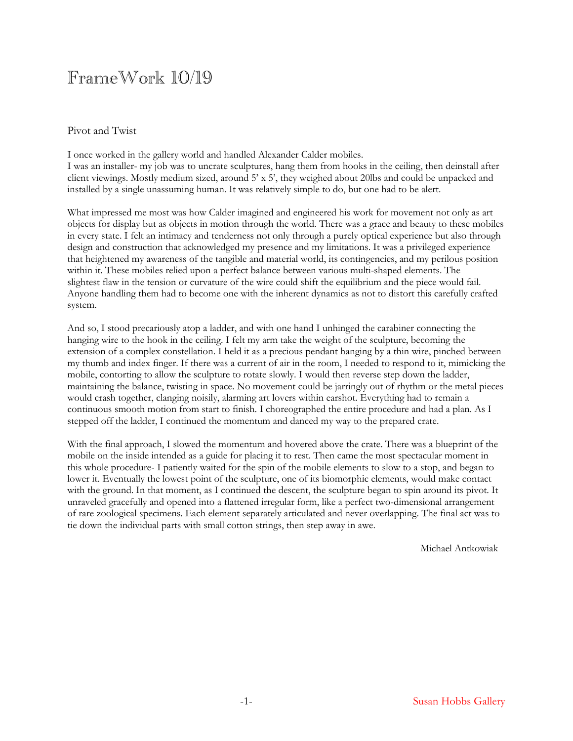## FrameWork 10/19

## Pivot and Twist

I once worked in the gallery world and handled Alexander Calder mobiles. I was an installer- my job was to uncrate sculptures, hang them from hooks in the ceiling, then deinstall after client viewings. Mostly medium sized, around 5' x 5', they weighed about 20lbs and could be unpacked and installed by a single unassuming human. It was relatively simple to do, but one had to be alert.

What impressed me most was how Calder imagined and engineered his work for movement not only as art objects for display but as objects in motion through the world. There was a grace and beauty to these mobiles in every state. I felt an intimacy and tenderness not only through a purely optical experience but also through design and construction that acknowledged my presence and my limitations. It was a privileged experience that heightened my awareness of the tangible and material world, its contingencies, and my perilous position within it. These mobiles relied upon a perfect balance between various multi-shaped elements. The slightest flaw in the tension or curvature of the wire could shift the equilibrium and the piece would fail. Anyone handling them had to become one with the inherent dynamics as not to distort this carefully crafted system.

And so, I stood precariously atop a ladder, and with one hand I unhinged the carabiner connecting the hanging wire to the hook in the ceiling. I felt my arm take the weight of the sculpture, becoming the extension of a complex constellation. I held it as a precious pendant hanging by a thin wire, pinched between my thumb and index finger. If there was a current of air in the room, I needed to respond to it, mimicking the mobile, contorting to allow the sculpture to rotate slowly. I would then reverse step down the ladder, maintaining the balance, twisting in space. No movement could be jarringly out of rhythm or the metal pieces would crash together, clanging noisily, alarming art lovers within earshot. Everything had to remain a continuous smooth motion from start to finish. I choreographed the entire procedure and had a plan. As I stepped off the ladder, I continued the momentum and danced my way to the prepared crate.

With the final approach, I slowed the momentum and hovered above the crate. There was a blueprint of the mobile on the inside intended as a guide for placing it to rest. Then came the most spectacular moment in this whole procedure- I patiently waited for the spin of the mobile elements to slow to a stop, and began to lower it. Eventually the lowest point of the sculpture, one of its biomorphic elements, would make contact with the ground. In that moment, as I continued the descent, the sculpture began to spin around its pivot. It unraveled gracefully and opened into a flattened irregular form, like a perfect two-dimensional arrangement of rare zoological specimens. Each element separately articulated and never overlapping. The final act was to tie down the individual parts with small cotton strings, then step away in awe.

Michael Antkowiak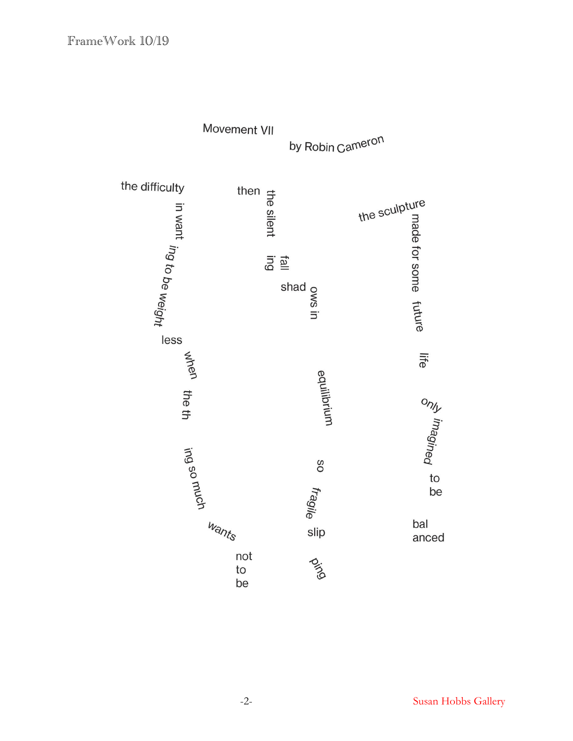

-2- Susan Hobbs Gallery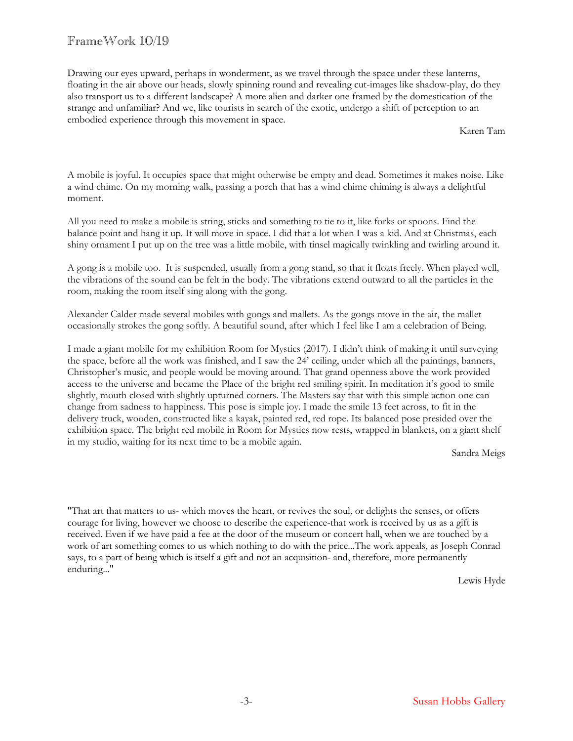## FrameWork 10/19

Drawing our eyes upward, perhaps in wonderment, as we travel through the space under these lanterns, floating in the air above our heads, slowly spinning round and revealing cut-images like shadow-play, do they also transport us to a different landscape? A more alien and darker one framed by the domestication of the strange and unfamiliar? And we, like tourists in search of the exotic, undergo a shift of perception to an embodied experience through this movement in space.

Karen Tam

A mobile is joyful. It occupies space that might otherwise be empty and dead. Sometimes it makes noise. Like a wind chime. On my morning walk, passing a porch that has a wind chime chiming is always a delightful moment.

All you need to make a mobile is string, sticks and something to tie to it, like forks or spoons. Find the balance point and hang it up. It will move in space. I did that a lot when I was a kid. And at Christmas, each shiny ornament I put up on the tree was a little mobile, with tinsel magically twinkling and twirling around it.

A gong is a mobile too. It is suspended, usually from a gong stand, so that it floats freely. When played well, the vibrations of the sound can be felt in the body. The vibrations extend outward to all the particles in the room, making the room itself sing along with the gong.

Alexander Calder made several mobiles with gongs and mallets. As the gongs move in the air, the mallet occasionally strokes the gong softly. A beautiful sound, after which I feel like I am a celebration of Being.

I made a giant mobile for my exhibition Room for Mystics (2017). I didn't think of making it until surveying the space, before all the work was finished, and I saw the 24' ceiling, under which all the paintings, banners, Christopher's music, and people would be moving around. That grand openness above the work provided access to the universe and became the Place of the bright red smiling spirit. In meditation it's good to smile slightly, mouth closed with slightly upturned corners. The Masters say that with this simple action one can change from sadness to happiness. This pose is simple joy. I made the smile 13 feet across, to fit in the delivery truck, wooden, constructed like a kayak, painted red, red rope. Its balanced pose presided over the exhibition space. The bright red mobile in Room for Mystics now rests, wrapped in blankets, on a giant shelf in my studio, waiting for its next time to be a mobile again.

Sandra Meigs

"That art that matters to us- which moves the heart, or revives the soul, or delights the senses, or offers courage for living, however we choose to describe the experience-that work is received by us as a gift is received. Even if we have paid a fee at the door of the museum or concert hall, when we are touched by a work of art something comes to us which nothing to do with the price...The work appeals, as Joseph Conrad says, to a part of being which is itself a gift and not an acquisition- and, therefore, more permanently enduring..."

Lewis Hyde